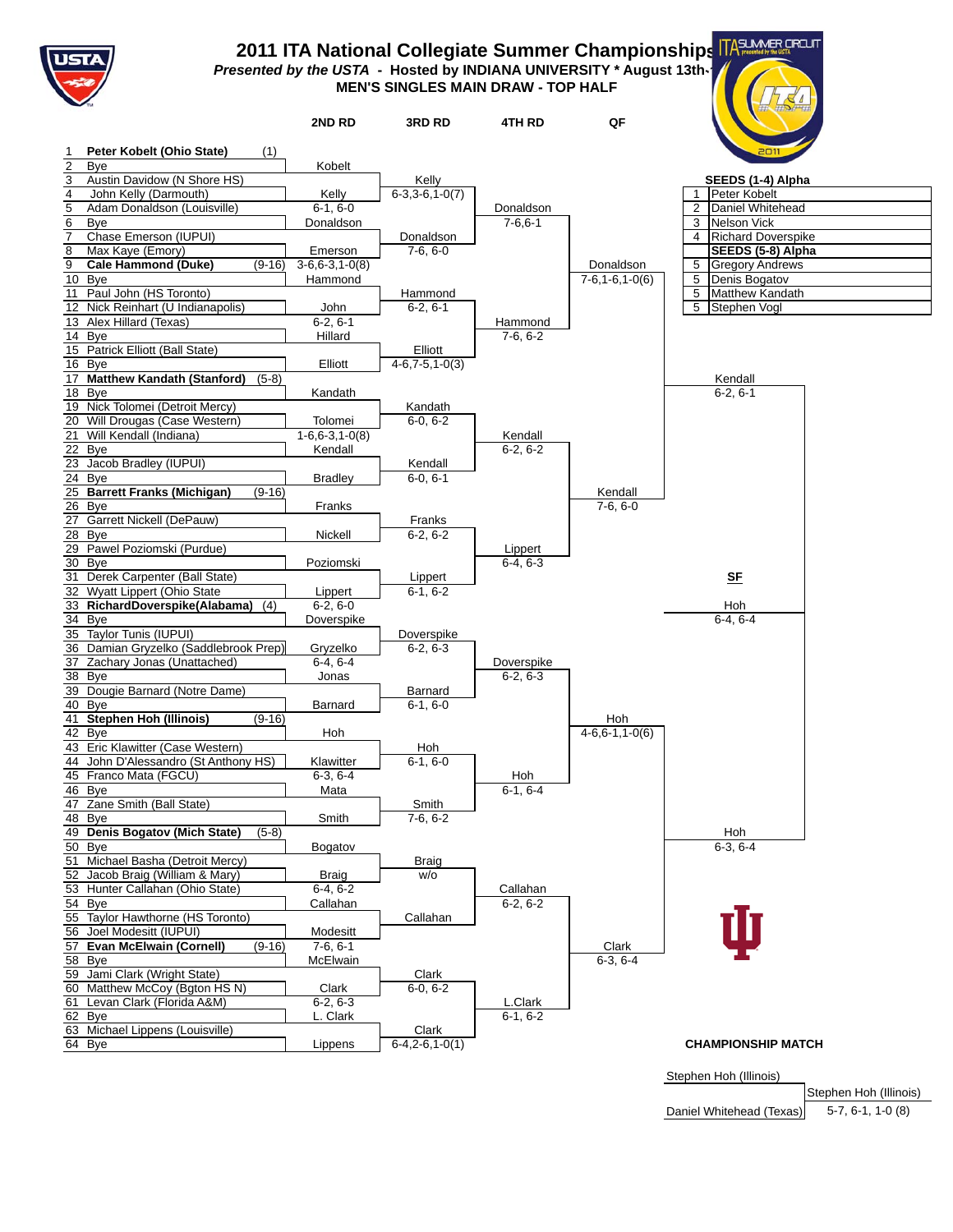

## **2011 ITA National Collegiate Summer Championships Presented by the USTA** - Hosted by INDIANA UNIVERSITY \* August 13th-17th **MEN'S SINGLES MAIN DRAW - TOP HALF**

|                                                                       | 2ND RD                        | <b>3RD RD</b>      | 4TH RD         | QF                              |                                                   |
|-----------------------------------------------------------------------|-------------------------------|--------------------|----------------|---------------------------------|---------------------------------------------------|
| Peter Kobelt (Ohio State)<br>(1)                                      |                               |                    |                |                                 | 201                                               |
| Bye                                                                   | Kobelt                        |                    |                |                                 |                                                   |
| $\mathbf{3}$<br>Austin Davidow (N Shore HS)                           |                               | Kelly              |                |                                 | SEEDS (1-4) Alpha                                 |
| $\overline{4}$<br>John Kelly (Darmouth)                               | Kelly                         | $6-3,3-6,1-0(7)$   |                |                                 | $\mathbf{1}$<br>Peter Kobelt                      |
| $\overline{5}$<br>Adam Donaldson (Louisville)                         | $6-1, 6-0$                    |                    | Donaldson      |                                 | 2<br>Daniel Whitehead                             |
| $6\overline{6}$<br>Bye                                                | Donaldson                     |                    | $7 - 6, 6 - 1$ |                                 | <b>Nelson Vick</b><br>3                           |
| $\overline{7}$<br>Chase Emerson (IUPUI)                               |                               | Donaldson          |                |                                 | 4 Richard Doverspike                              |
| 8<br>Max Kaye (Emory)<br>$\overline{9}$<br><b>Cale Hammond (Duke)</b> | Emerson                       | $7-6, 6-0$         |                |                                 | SEEDS (5-8) Alpha                                 |
| $(9-16)$<br>$\overline{10}$ Bye                                       | $3-6, 6-3, 1-0(8)$<br>Hammond |                    |                | Donaldson<br>$7-6, 1-6, 1-0(6)$ | 5<br><b>Gregory Andrews</b><br>Denis Bogatov<br>5 |
| Paul John (HS Toronto)<br>11                                          |                               | Hammond            |                |                                 | Matthew Kandath<br>5                              |
| 12 Nick Reinhart (U Indianapolis)                                     | John                          | $6-2, 6-1$         |                |                                 | 5<br>Stephen Vogl                                 |
| 13 Alex Hillard (Texas)                                               | $6-2, 6-1$                    |                    | Hammond        |                                 |                                                   |
| 14 Bye                                                                | Hillard                       |                    | $7-6, 6-2$     |                                 |                                                   |
| 15 Patrick Elliott (Ball State)                                       |                               | Elliott            |                |                                 |                                                   |
| 16 Bye                                                                | Elliott                       | $4-6, 7-5, 1-0(3)$ |                |                                 |                                                   |
| 17 Matthew Kandath (Stanford)<br>$(5-8)$                              |                               |                    |                |                                 | Kendall<br>$6-2, 6-1$                             |
| 18 Bye<br>19 Nick Tolomei (Detroit Mercy)                             | Kandath                       | Kandath            |                |                                 |                                                   |
| 20 Will Drougas (Case Western)                                        | Tolomei                       | $6-0, 6-2$         |                |                                 |                                                   |
| 21 Will Kendall (Indiana)                                             | $1 - 6.6 - 3.1 - 0(8)$        |                    | Kendall        |                                 |                                                   |
| 22 Bye                                                                | Kendall                       |                    | $6-2, 6-2$     |                                 |                                                   |
| 23 Jacob Bradley (IUPUI)                                              |                               | Kendall            |                |                                 |                                                   |
| 24 Bye                                                                | <b>Bradley</b>                | $6-0, 6-1$         |                |                                 |                                                   |
| 25 Barrett Franks (Michigan)<br>$(9-16)$<br>$26$ Bye                  |                               |                    |                | Kendall                         |                                                   |
| Garrett Nickell (DePauw)<br>27                                        | Franks                        | Franks             |                | $7-6, 6-0$                      |                                                   |
| 28<br>Bye                                                             | Nickell                       | $6-2, 6-2$         |                |                                 |                                                   |
| 29 Pawel Poziomski (Purdue)                                           |                               |                    | Lippert        |                                 |                                                   |
| 30 Bye                                                                | Poziomski                     |                    | $6-4, 6-3$     |                                 |                                                   |
| 31 Derek Carpenter (Ball State)                                       |                               | Lippert            |                |                                 | SF                                                |
| 32 Wyatt Lippert (Ohio State                                          | Lippert                       | $6-1, 6-2$         |                |                                 |                                                   |
| 33 RichardDoverspike(Alabama) (4)<br>34 Bye                           | $6-2, 6-0$                    |                    |                |                                 | Hoh<br>$6-4, 6-4$                                 |
| 35 Taylor Tunis (IUPUI)                                               | Doverspike                    | Doverspike         |                |                                 |                                                   |
| 36 Damian Gryzelko (Saddlebrook Prep)                                 | Gryzelko                      | $6-2, 6-3$         |                |                                 |                                                   |
| 37 Zachary Jonas (Unattached)                                         | $6-4, 6-4$                    |                    | Doverspike     |                                 |                                                   |
| 38 Bye                                                                | Jonas                         |                    | $6-2, 6-3$     |                                 |                                                   |
| 39 Dougie Barnard (Notre Dame)                                        |                               | Barnard            |                |                                 |                                                   |
| 40<br>Bye                                                             | Barnard                       | $6-1, 6-0$         |                |                                 |                                                   |
| 41 Stephen Hoh (Illinois)<br>$(9-16)$<br>42 Bye                       |                               |                    |                | Hoh<br>$4-6, 6-1, 1-0(6)$       |                                                   |
| 43 Eric Klawitter (Case Western)                                      | Hoh                           | Hoh                |                |                                 |                                                   |
| 44 John D'Alessandro (St Anthony HS)                                  | Klawitter                     | $6-1, 6-0$         |                |                                 |                                                   |
| 45 Franco Mata (FGCU)                                                 | $6-3, 6-4$                    |                    | Hoh            |                                 |                                                   |
| 46 Bye                                                                | Mata                          |                    | $6-1, 6-4$     |                                 |                                                   |
| 47 Zane Smith (Ball State)                                            |                               | Smith              |                |                                 |                                                   |
| 48 Bye                                                                | Smith                         | $7-6, 6-2$         |                |                                 |                                                   |
| 49 Denis Bogatov (Mich State)<br>$(5-8)$<br>50 Bye                    | Bogatov                       |                    |                |                                 | Hoh<br>$6-3, 6-4$                                 |
| 51 Michael Basha (Detroit Mercy)                                      |                               | Braig              |                |                                 |                                                   |
| Jacob Braig (William & Mary)<br>52                                    | <b>Braig</b>                  | W/O                |                |                                 |                                                   |
| 53 Hunter Callahan (Ohio State)                                       | $6-4, 6-2$                    |                    | Callahan       |                                 |                                                   |
| 54 Bye                                                                | Callahan                      |                    | $6-2, 6-2$     |                                 |                                                   |
| 55 Taylor Hawthorne (HS Toronto)                                      |                               | Callahan           |                |                                 |                                                   |
| 56 Joel Modesitt (IUPUI)                                              | Modesitt<br>$7-6.6-1$         |                    |                |                                 |                                                   |
| <b>Evan McElwain (Cornell)</b><br>57<br>$(9-16)$<br>58 Bye            | McElwain                      |                    |                | Clark<br>$6-3, 6-4$             |                                                   |
| 59 Jami Clark (Wright State)                                          |                               | Clark              |                |                                 |                                                   |
| 60 Matthew McCoy (Bgton HS N)                                         | Clark                         | $6-0, 6-2$         |                |                                 |                                                   |
| Levan Clark (Florida A&M)<br>61                                       | $6-2, 6-3$                    |                    | L.Clark        |                                 |                                                   |
| 62 Bye                                                                | L. Clark                      |                    | $6-1, 6-2$     |                                 |                                                   |
| 63 Michael Lippens (Louisville)                                       |                               | Clark              |                |                                 |                                                   |
| 64 Bye                                                                | Lippens                       | $6-4, 2-6, 1-0(1)$ |                |                                 | <b>CHAMPIONSHIP MATCH</b>                         |
|                                                                       |                               |                    |                |                                 |                                                   |

Stephen Hoh (Illinois)

Stephen Hoh (Illinois) 5-7, 6-1, 1-0 (8) Daniel Whitehead (Texas)